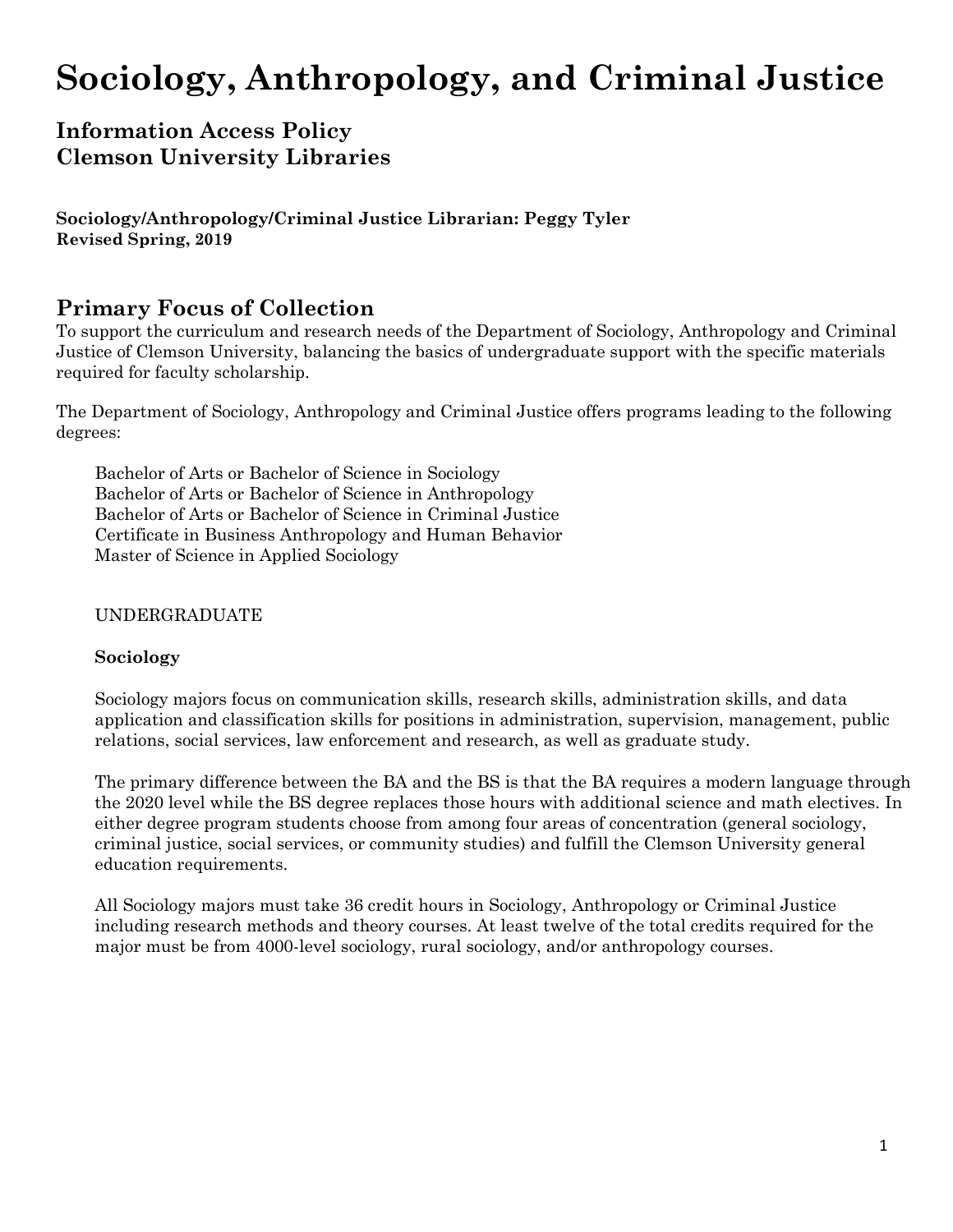# **Sociology, Anthropology, and Criminal Justice**

## **Information Access Policy Clemson University Libraries**

**Sociology/Anthropology/Criminal Justice Librarian: Peggy Tyler Revised Spring, 2019**

### **Primary Focus of Collection**

To support the curriculum and research needs of the Department of Sociology, Anthropology and Criminal Justice of Clemson University, balancing the basics of undergraduate support with the specific materials required for faculty scholarship.

The Department of Sociology, Anthropology and Criminal Justice offers programs leading to the following degrees:

Bachelor of Arts or Bachelor of Science in Sociology Bachelor of Arts or Bachelor of Science in Anthropology Bachelor of Arts or Bachelor of Science in Criminal Justice Certificate in Business Anthropology and Human Behavior Master of Science in Applied Sociology

#### UNDERGRADUATE

#### **Sociology**

Sociology majors focus on communication skills, research skills, administration skills, and data application and classification skills for positions in administration, supervision, management, public relations, social services, law enforcement and research, as well as graduate study.

The primary difference between the BA and the BS is that the BA requires a modern language through the 2020 level while the BS degree replaces those hours with additional science and math electives. In either degree program students choose from among four areas of concentration (general sociology, criminal justice, social services, or community studies) and fulfill the Clemson University general education requirements.

All Sociology majors must take 36 credit hours in Sociology, Anthropology or Criminal Justice including research methods and theory courses. At least twelve of the total credits required for the major must be from 4000-level sociology, rural sociology, and/or anthropology courses.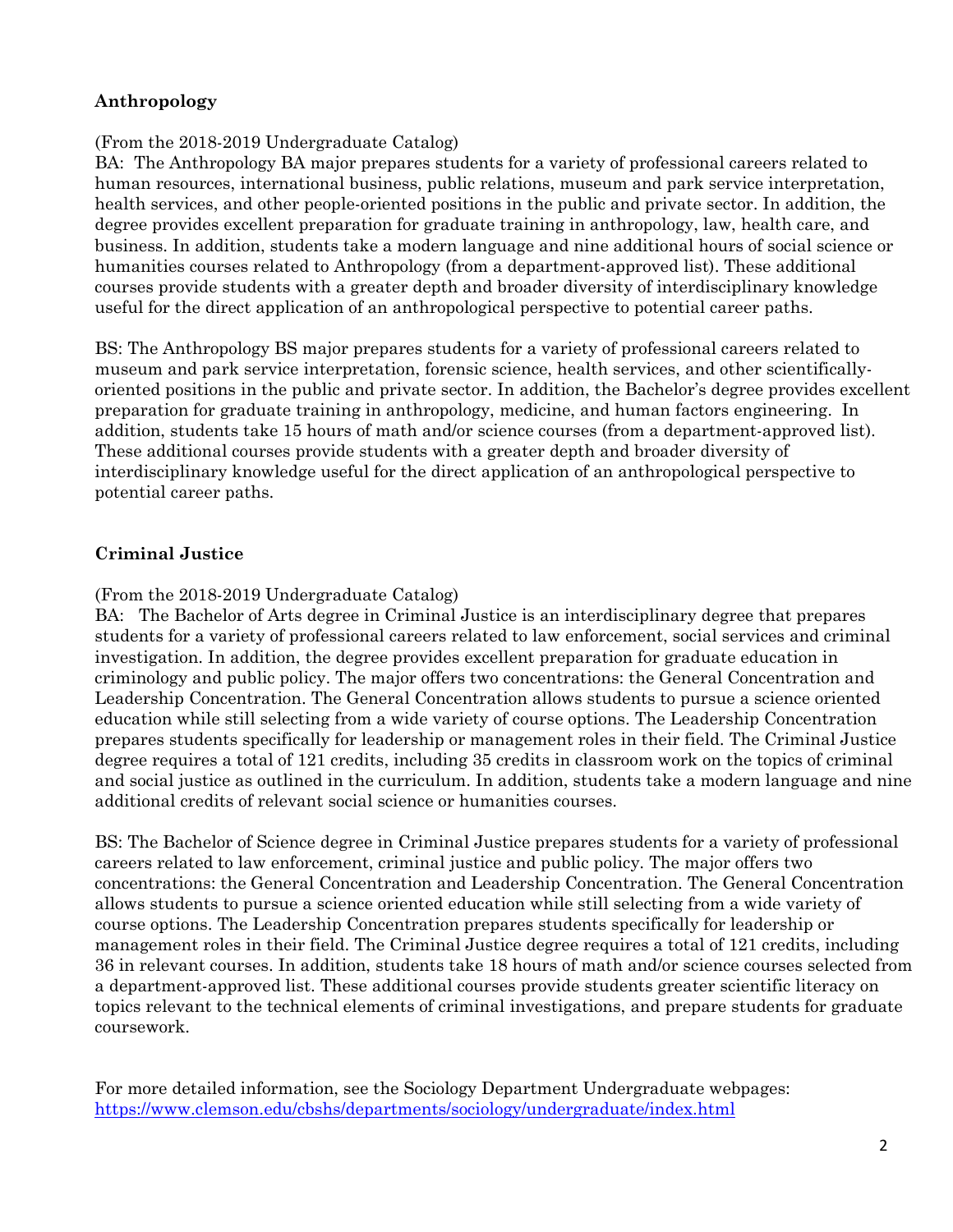#### **Anthropology**

#### (From the 2018-2019 Undergraduate Catalog)

BA: The Anthropology BA major prepares students for a variety of professional careers related to human resources, international business, public relations, museum and park service interpretation, health services, and other people-oriented positions in the public and private sector. In addition, the degree provides excellent preparation for graduate training in anthropology, law, health care, and business. In addition, students take a modern language and nine additional hours of social science or humanities courses related to Anthropology (from a department-approved list). These additional courses provide students with a greater depth and broader diversity of interdisciplinary knowledge useful for the direct application of an anthropological perspective to potential career paths.

BS: The Anthropology BS major prepares students for a variety of professional careers related to museum and park service interpretation, forensic science, health services, and other scientificallyoriented positions in the public and private sector. In addition, the Bachelor's degree provides excellent preparation for graduate training in anthropology, medicine, and human factors engineering. In addition, students take 15 hours of math and/or science courses (from a department-approved list). These additional courses provide students with a greater depth and broader diversity of interdisciplinary knowledge useful for the direct application of an anthropological perspective to potential career paths.

#### **Criminal Justice**

#### (From the 2018-2019 Undergraduate Catalog)

BA: The Bachelor of Arts degree in Criminal Justice is an interdisciplinary degree that prepares students for a variety of professional careers related to law enforcement, social services and criminal investigation. In addition, the degree provides excellent preparation for graduate education in criminology and public policy. The major offers two concentrations: the General Concentration and Leadership Concentration. The General Concentration allows students to pursue a science oriented education while still selecting from a wide variety of course options. The Leadership Concentration prepares students specifically for leadership or management roles in their field. The Criminal Justice degree requires a total of 121 credits, including 35 credits in classroom work on the topics of criminal and social justice as outlined in the curriculum. In addition, students take a modern language and nine additional credits of relevant social science or humanities courses.

BS: The Bachelor of Science degree in Criminal Justice prepares students for a variety of professional careers related to law enforcement, criminal justice and public policy. The major offers two concentrations: the General Concentration and Leadership Concentration. The General Concentration allows students to pursue a science oriented education while still selecting from a wide variety of course options. The Leadership Concentration prepares students specifically for leadership or management roles in their field. The Criminal Justice degree requires a total of 121 credits, including 36 in relevant courses. In addition, students take 18 hours of math and/or science courses selected from a department-approved list. These additional courses provide students greater scientific literacy on topics relevant to the technical elements of criminal investigations, and prepare students for graduate coursework.

For more detailed information, see the Sociology Department Undergraduate webpages: <https://www.clemson.edu/cbshs/departments/sociology/undergraduate/index.html>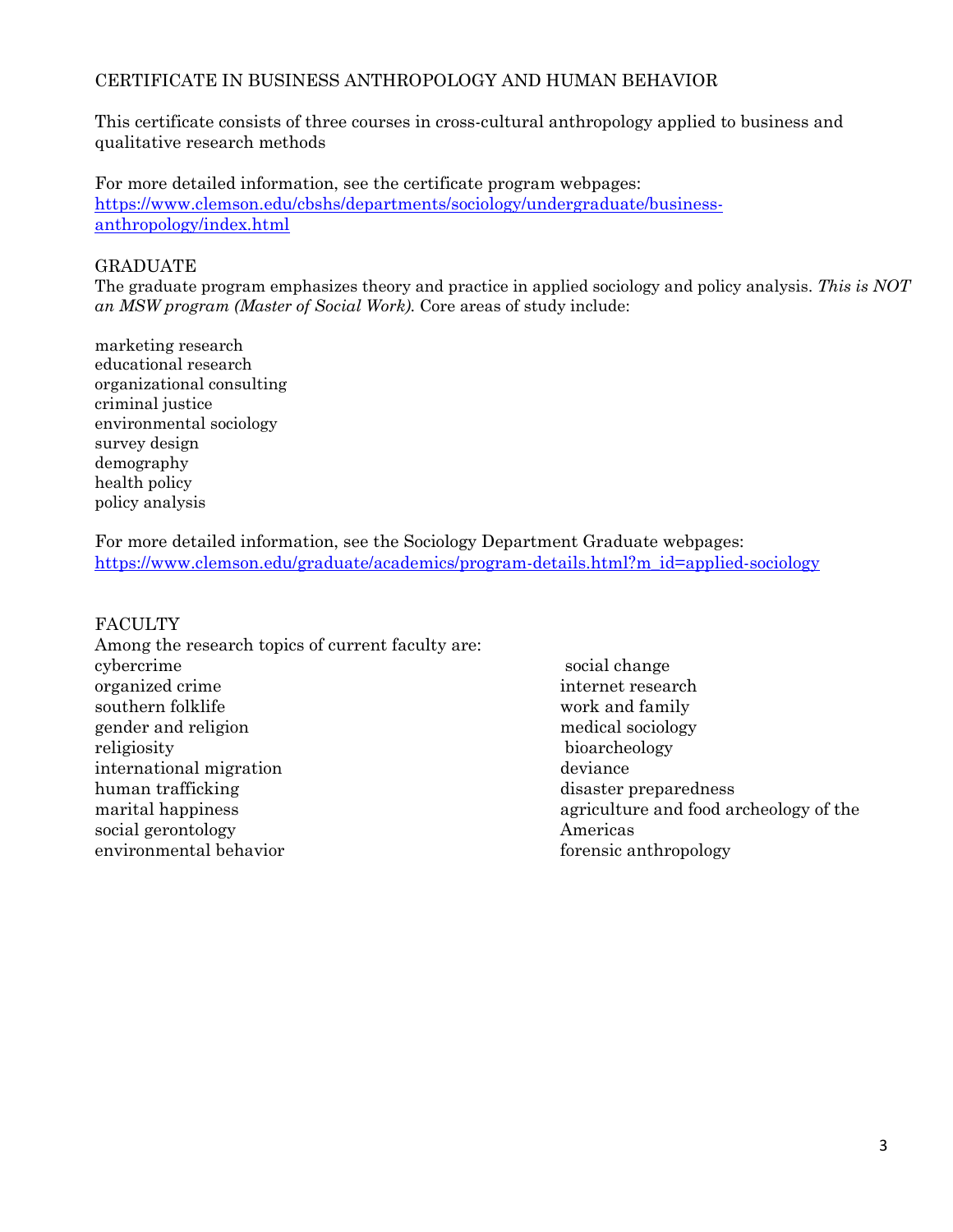#### CERTIFICATE IN BUSINESS ANTHROPOLOGY AND HUMAN BEHAVIOR

This certificate consists of three courses in cross-cultural anthropology applied to business and qualitative research methods

For more detailed information, see the certificate program webpages: [https://www.clemson.edu/cbshs/departments/sociology/undergraduate/business](https://www.clemson.edu/cbshs/departments/sociology/undergraduate/business-anthropology/index.html)[anthropology/index.html](https://www.clemson.edu/cbshs/departments/sociology/undergraduate/business-anthropology/index.html)

#### GRADUATE

The graduate program emphasizes theory and practice in applied sociology and policy analysis. *This is NOT an MSW program (Master of Social Work).* Core areas of study include:

marketing research educational research organizational consulting criminal justice environmental sociology survey design demography health policy policy analysis

For more detailed information, see the Sociology Department Graduate webpages: [https://www.clemson.edu/graduate/academics/program-details.html?m\\_id=applied-sociology](https://www.clemson.edu/graduate/academics/program-details.html?m_id=applied-sociology)

#### **FACULTY**

| Among the research topics of current faculty are: |                                        |
|---------------------------------------------------|----------------------------------------|
| cybercrime                                        | social change                          |
| organized crime                                   | internet research                      |
| southern folklife                                 | work and family                        |
| gender and religion                               | medical sociology                      |
| religiosity                                       | bioarcheology                          |
| international migration                           | deviance                               |
| human trafficking                                 | disaster preparedness                  |
| marital happiness                                 | agriculture and food archeology of the |
| social gerontology                                | Americas                               |
| environmental behavior                            | forensic anthropology                  |
|                                                   |                                        |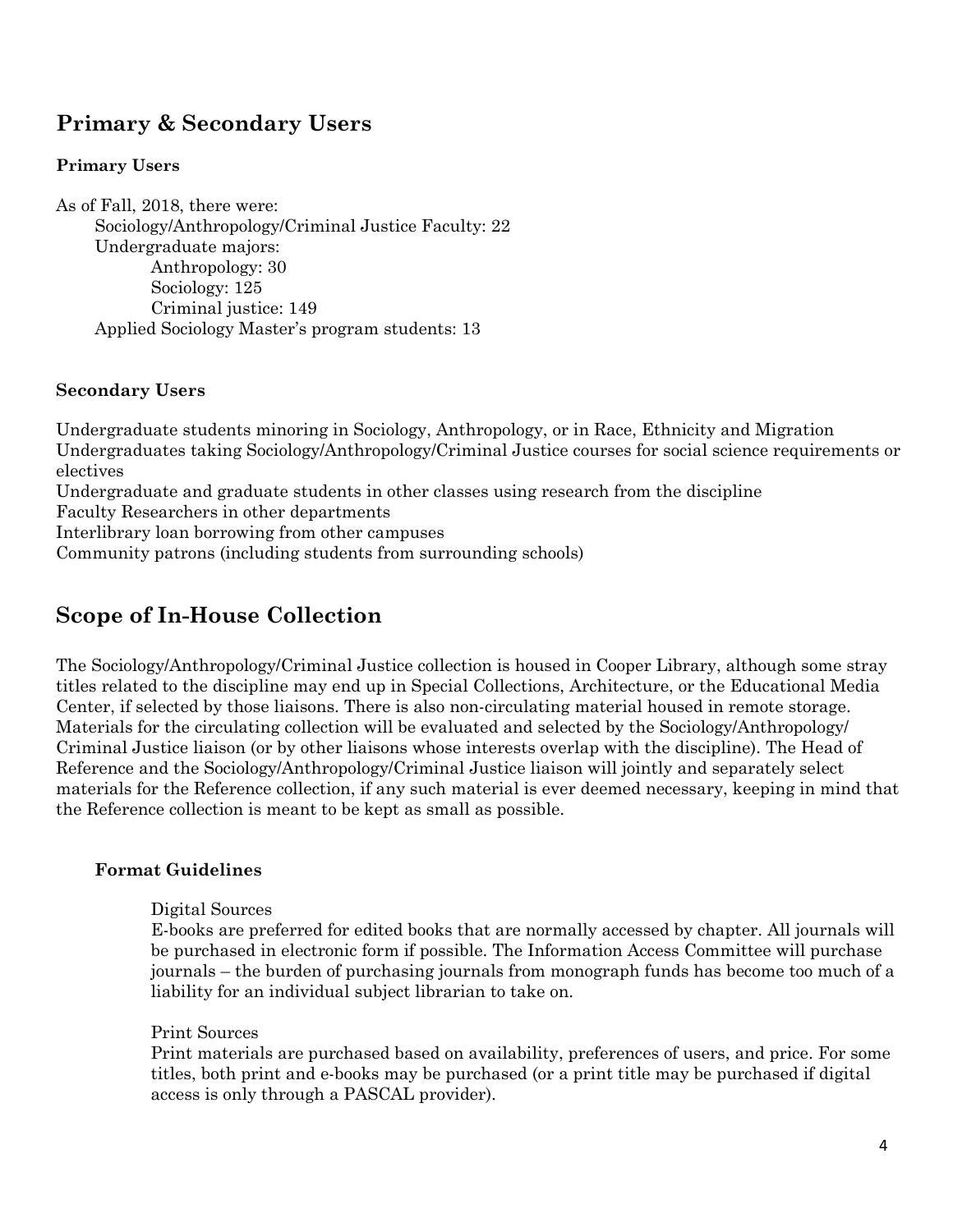# **Primary & Secondary Users**

#### **Primary Users**

As of Fall, 2018, there were: Sociology/Anthropology/Criminal Justice Faculty: 22 Undergraduate majors: Anthropology: 30 Sociology: 125 Criminal justice: 149 Applied Sociology Master's program students: 13

#### **Secondary Users**

Undergraduate students minoring in Sociology, Anthropology, or in Race, Ethnicity and Migration Undergraduates taking Sociology/Anthropology/Criminal Justice courses for social science requirements or electives

Undergraduate and graduate students in other classes using research from the discipline

Faculty Researchers in other departments

Interlibrary loan borrowing from other campuses

Community patrons (including students from surrounding schools)

### **Scope of In-House Collection**

The Sociology/Anthropology/Criminal Justice collection is housed in Cooper Library, although some stray titles related to the discipline may end up in Special Collections, Architecture, or the Educational Media Center, if selected by those liaisons. There is also non-circulating material housed in remote storage. Materials for the circulating collection will be evaluated and selected by the Sociology/Anthropology/ Criminal Justice liaison (or by other liaisons whose interests overlap with the discipline). The Head of Reference and the Sociology/Anthropology/Criminal Justice liaison will jointly and separately select materials for the Reference collection, if any such material is ever deemed necessary, keeping in mind that the Reference collection is meant to be kept as small as possible.

#### **Format Guidelines**

#### Digital Sources

E-books are preferred for edited books that are normally accessed by chapter. All journals will be purchased in electronic form if possible. The Information Access Committee will purchase journals – the burden of purchasing journals from monograph funds has become too much of a liability for an individual subject librarian to take on.

#### Print Sources

Print materials are purchased based on availability, preferences of users, and price. For some titles, both print and e-books may be purchased (or a print title may be purchased if digital access is only through a PASCAL provider).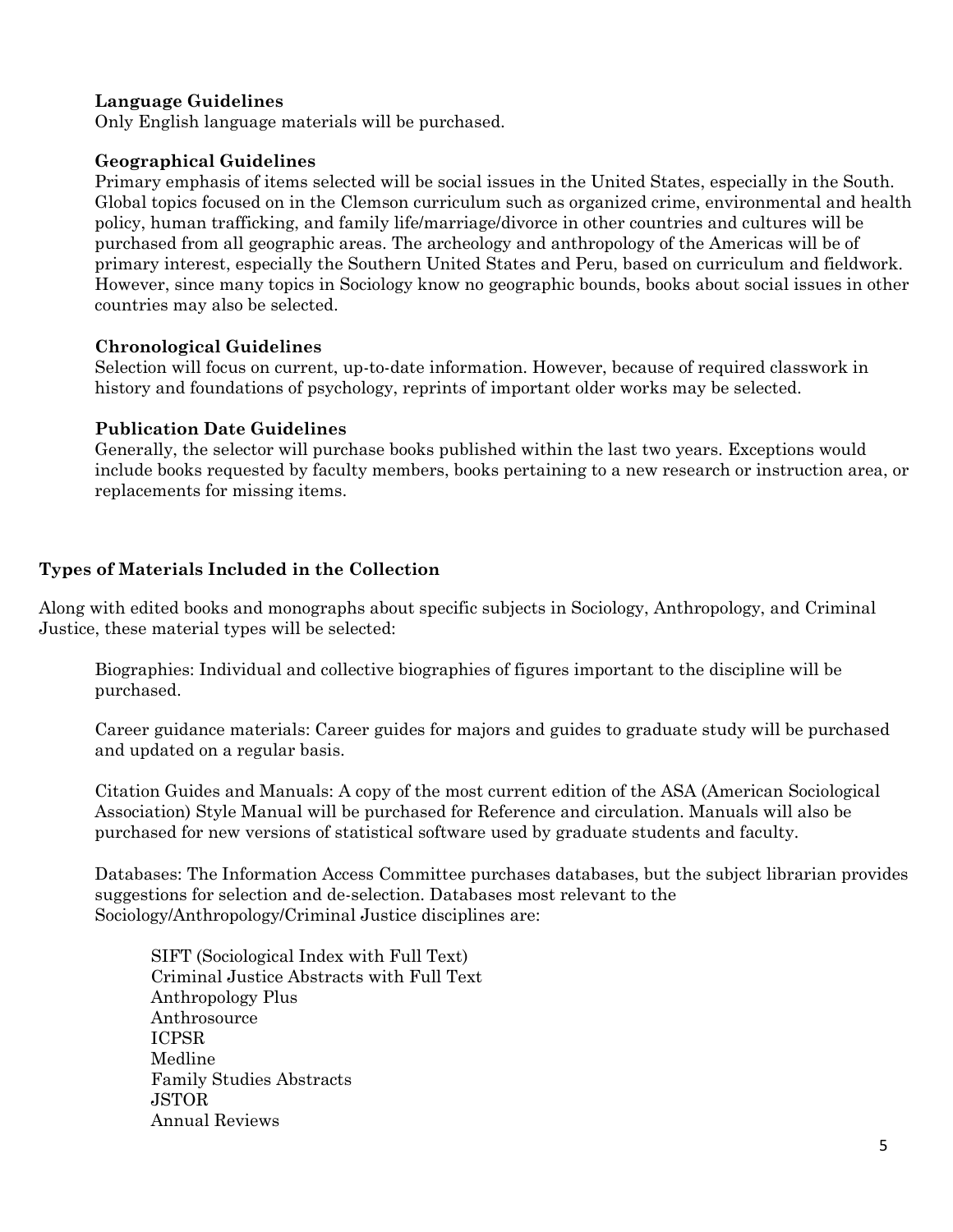#### **Language Guidelines**

Only English language materials will be purchased.

#### **Geographical Guidelines**

Primary emphasis of items selected will be social issues in the United States, especially in the South. Global topics focused on in the Clemson curriculum such as organized crime, environmental and health policy, human trafficking, and family life/marriage/divorce in other countries and cultures will be purchased from all geographic areas. The archeology and anthropology of the Americas will be of primary interest, especially the Southern United States and Peru, based on curriculum and fieldwork. However, since many topics in Sociology know no geographic bounds, books about social issues in other countries may also be selected.

#### **Chronological Guidelines**

Selection will focus on current, up-to-date information. However, because of required classwork in history and foundations of psychology, reprints of important older works may be selected.

#### **Publication Date Guidelines**

Generally, the selector will purchase books published within the last two years. Exceptions would include books requested by faculty members, books pertaining to a new research or instruction area, or replacements for missing items.

#### **Types of Materials Included in the Collection**

Along with edited books and monographs about specific subjects in Sociology, Anthropology, and Criminal Justice, these material types will be selected:

Biographies: Individual and collective biographies of figures important to the discipline will be purchased.

Career guidance materials: Career guides for majors and guides to graduate study will be purchased and updated on a regular basis.

Citation Guides and Manuals: A copy of the most current edition of the ASA (American Sociological Association) Style Manual will be purchased for Reference and circulation. Manuals will also be purchased for new versions of statistical software used by graduate students and faculty.

Databases: The Information Access Committee purchases databases, but the subject librarian provides suggestions for selection and de-selection. Databases most relevant to the Sociology/Anthropology/Criminal Justice disciplines are:

SIFT (Sociological Index with Full Text) Criminal Justice Abstracts with Full Text Anthropology Plus Anthrosource ICPSR Medline Family Studies Abstracts JSTOR Annual Reviews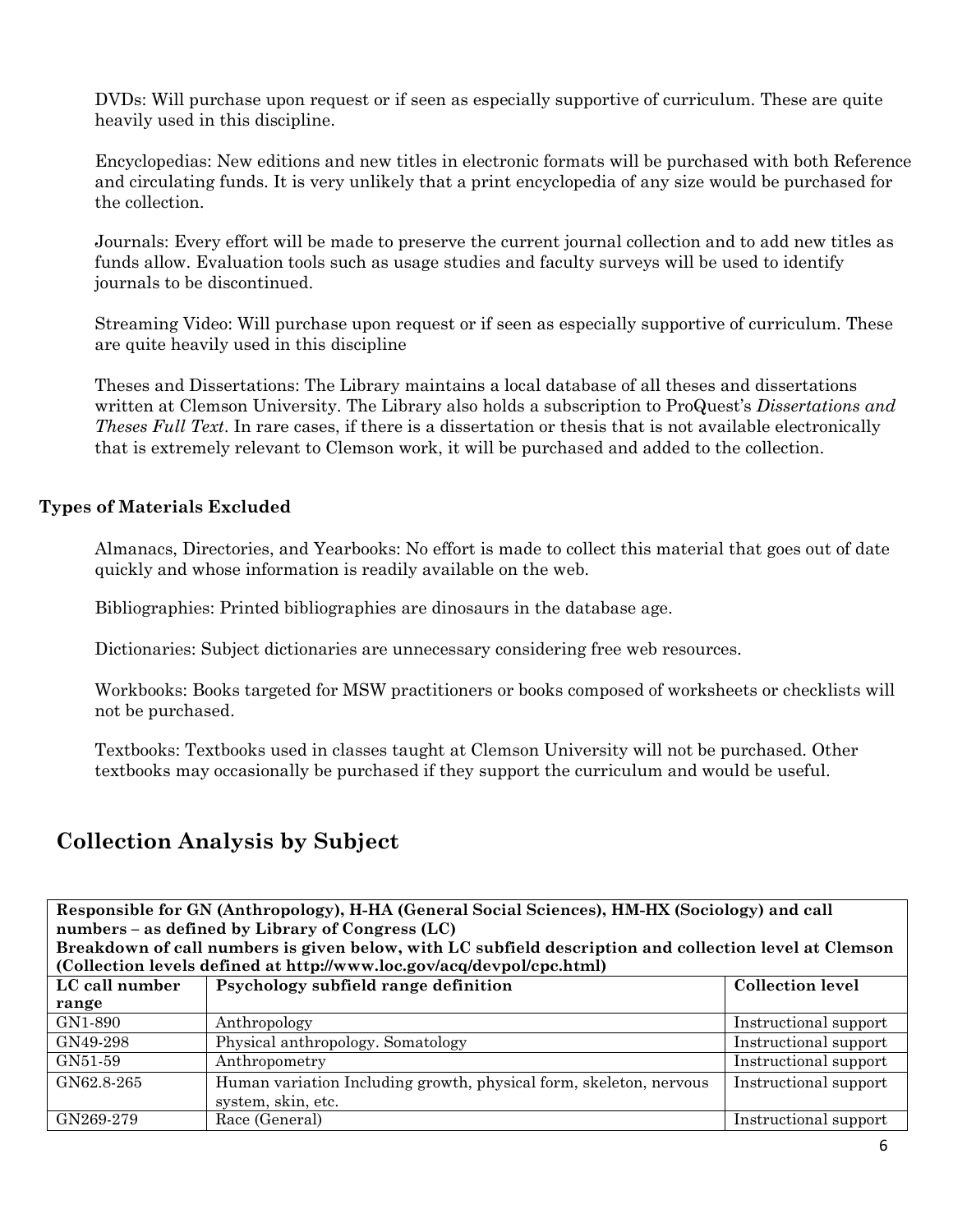DVDs: Will purchase upon request or if seen as especially supportive of curriculum. These are quite heavily used in this discipline.

Encyclopedias: New editions and new titles in electronic formats will be purchased with both Reference and circulating funds. It is very unlikely that a print encyclopedia of any size would be purchased for the collection.

Journals: Every effort will be made to preserve the current journal collection and to add new titles as funds allow. Evaluation tools such as usage studies and faculty surveys will be used to identify journals to be discontinued.

Streaming Video: Will purchase upon request or if seen as especially supportive of curriculum. These are quite heavily used in this discipline

Theses and Dissertations: The Library maintains a local database of all theses and dissertations written at Clemson University. The Library also holds a subscription to ProQuest's *Dissertations and Theses Full Text*. In rare cases, if there is a dissertation or thesis that is not available electronically that is extremely relevant to Clemson work, it will be purchased and added to the collection.

#### **Types of Materials Excluded**

Almanacs, Directories, and Yearbooks: No effort is made to collect this material that goes out of date quickly and whose information is readily available on the web.

Bibliographies: Printed bibliographies are dinosaurs in the database age.

Dictionaries: Subject dictionaries are unnecessary considering free web resources.

Workbooks: Books targeted for MSW practitioners or books composed of worksheets or checklists will not be purchased.

Textbooks: Textbooks used in classes taught at Clemson University will not be purchased. Other textbooks may occasionally be purchased if they support the curriculum and would be useful.

# **Collection Analysis by Subject**

**Responsible for GN (Anthropology), H-HA (General Social Sciences), HM-HX (Sociology) and call numbers – as defined by Library of Congress (LC) Breakdown of call numbers is given below, with LC subfield description and collection level at Clemson** 

| (Collection levels defined at http://www.loc.gov/acq/devpol/cpc.html) |                                                                    |                         |
|-----------------------------------------------------------------------|--------------------------------------------------------------------|-------------------------|
| LC call number                                                        | Psychology subfield range definition                               | <b>Collection level</b> |
| range                                                                 |                                                                    |                         |
| GN1-890                                                               | Anthropology                                                       | Instructional support   |
| GN49-298                                                              | Physical anthropology. Somatology                                  | Instructional support   |
| GN51-59                                                               | Anthropometry                                                      | Instructional support   |
| GN62.8-265                                                            | Human variation Including growth, physical form, skeleton, nervous | Instructional support   |
|                                                                       | system, skin, etc.                                                 |                         |
| GN269-279                                                             | Race (General)                                                     | Instructional support   |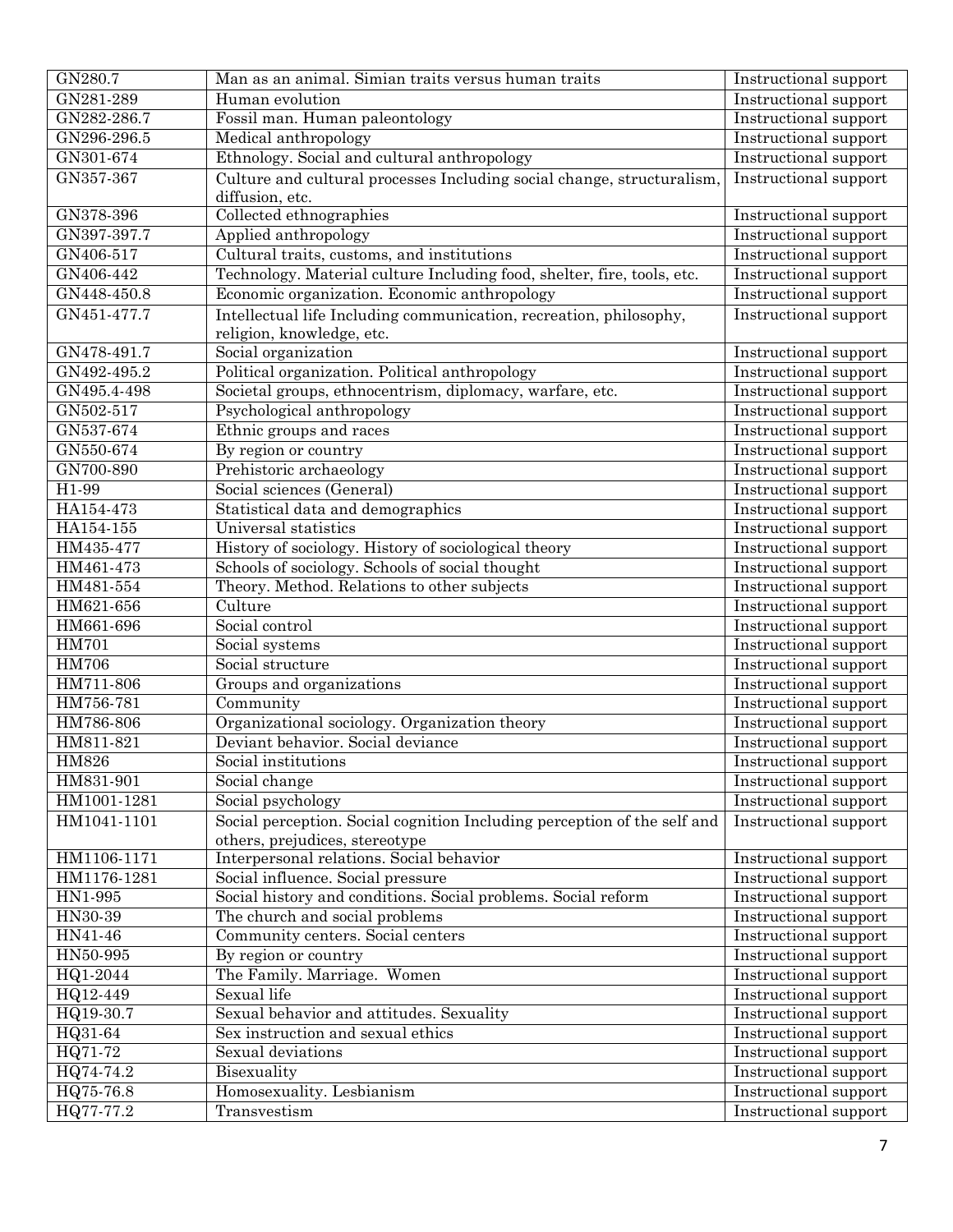| GN280.7      | Man as an animal. Simian traits versus human traits                      | Instructional support |
|--------------|--------------------------------------------------------------------------|-----------------------|
| GN281-289    | Human evolution                                                          | Instructional support |
| GN282-286.7  | Fossil man. Human paleontology                                           | Instructional support |
| GN296-296.5  | Medical anthropology                                                     | Instructional support |
| GN301-674    | Ethnology. Social and cultural anthropology                              | Instructional support |
| GN357-367    | Culture and cultural processes Including social change, structuralism,   | Instructional support |
|              | diffusion, etc.                                                          |                       |
| GN378-396    | Collected ethnographies                                                  | Instructional support |
| GN397-397.7  | Applied anthropology                                                     | Instructional support |
| GN406-517    | Cultural traits, customs, and institutions                               | Instructional support |
| GN406-442    | Technology. Material culture Including food, shelter, fire, tools, etc.  | Instructional support |
| GN448-450.8  | Economic organization. Economic anthropology                             | Instructional support |
| GN451-477.7  | Intellectual life Including communication, recreation, philosophy,       | Instructional support |
|              | religion, knowledge, etc.                                                |                       |
| GN478-491.7  | Social organization                                                      | Instructional support |
| GN492-495.2  | Political organization. Political anthropology                           | Instructional support |
| GN495.4-498  | Societal groups, ethnocentrism, diplomacy, warfare, etc.                 | Instructional support |
| GN502-517    | Psychological anthropology                                               | Instructional support |
| GN537-674    | Ethnic groups and races                                                  | Instructional support |
| GN550-674    | By region or country                                                     | Instructional support |
| GN700-890    | Prehistoric archaeology                                                  | Instructional support |
| H1-99        | Social sciences (General)                                                | Instructional support |
| HA154-473    | Statistical data and demographics                                        | Instructional support |
| HA154-155    | Universal statistics                                                     | Instructional support |
| HM435-477    | History of sociology. History of sociological theory                     | Instructional support |
| HM461-473    | Schools of sociology. Schools of social thought                          | Instructional support |
| HM481-554    | Theory. Method. Relations to other subjects                              | Instructional support |
| HM621-656    | Culture                                                                  | Instructional support |
| HM661-696    | Social control                                                           | Instructional support |
| <b>HM701</b> | Social systems                                                           | Instructional support |
| <b>HM706</b> | Social structure                                                         | Instructional support |
| HM711-806    | Groups and organizations                                                 | Instructional support |
| HM756-781    | Community                                                                | Instructional support |
| HM786-806    | Organizational sociology. Organization theory                            | Instructional support |
| HM811-821    | Deviant behavior. Social deviance                                        | Instructional support |
| <b>HM826</b> | Social institutions                                                      | Instructional support |
| HM831-901    | Social change                                                            | Instructional support |
| HM1001-1281  | Social psychology                                                        | Instructional support |
| HM1041-1101  | Social perception. Social cognition Including perception of the self and | Instructional support |
|              | others, prejudices, stereotype                                           |                       |
| HM1106-1171  | Interpersonal relations. Social behavior                                 | Instructional support |
| HM1176-1281  | Social influence. Social pressure                                        | Instructional support |
| HN1-995      | Social history and conditions. Social problems. Social reform            | Instructional support |
| HN30-39      | The church and social problems                                           | Instructional support |
| HN41-46      | Community centers. Social centers                                        | Instructional support |
| HN50-995     | By region or country                                                     | Instructional support |
| HQ1-2044     | The Family. Marriage. Women                                              | Instructional support |
| HQ12-449     | Sexual life                                                              | Instructional support |
| HQ19-30.7    | Sexual behavior and attitudes. Sexuality                                 | Instructional support |
| HQ31-64      | Sex instruction and sexual ethics                                        | Instructional support |
| HQ71-72      | Sexual deviations                                                        | Instructional support |
| HQ74-74.2    | Bisexuality                                                              | Instructional support |
| HQ75-76.8    | Homosexuality. Lesbianism                                                | Instructional support |
| HQ77-77.2    | Transvestism                                                             | Instructional support |
|              |                                                                          |                       |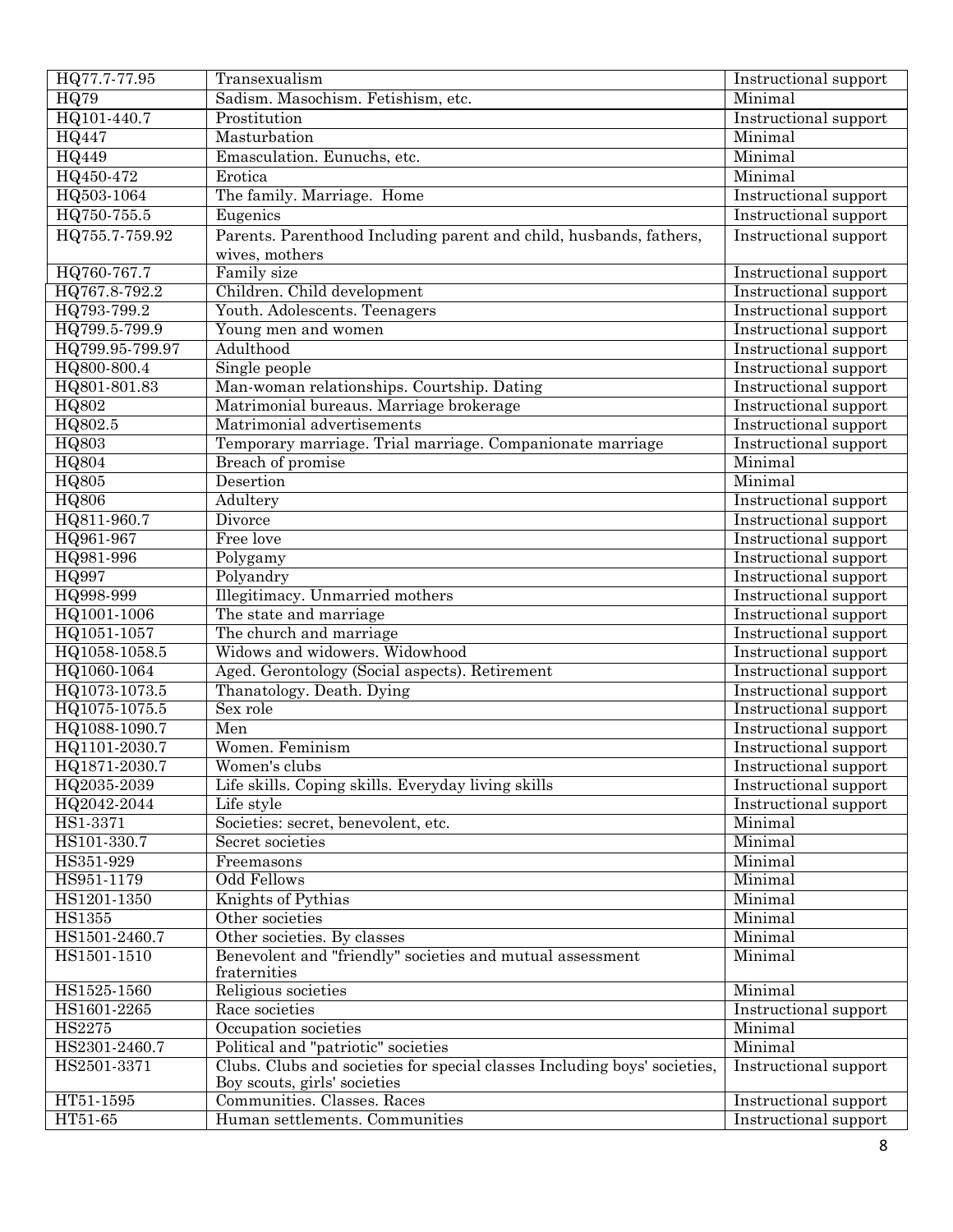| HQ77.7-77.95    | Transexualism                                                             | Instructional support        |
|-----------------|---------------------------------------------------------------------------|------------------------------|
| <b>HQ79</b>     | Sadism. Masochism. Fetishism, etc.                                        | Minimal                      |
| HQ101-440.7     | Prostitution                                                              | <b>Instructional</b> support |
| <b>HQ447</b>    | Masturbation                                                              | Minimal                      |
| <b>HQ449</b>    | Emasculation. Eunuchs, etc.                                               | Minimal                      |
| HQ450-472       | Erotica                                                                   | Minimal                      |
| HQ503-1064      | The family. Marriage. Home                                                | Instructional support        |
| HQ750-755.5     | Eugenics                                                                  | Instructional support        |
| HQ755.7-759.92  | Parents. Parenthood Including parent and child, husbands, fathers,        | Instructional support        |
|                 | wives, mothers                                                            |                              |
| HQ760-767.7     | Family size                                                               | Instructional support        |
| HQ767.8-792.2   | Children. Child development                                               | Instructional support        |
| HQ793-799.2     | Youth. Adolescents. Teenagers                                             | Instructional support        |
| HQ799.5-799.9   | Young men and women                                                       | Instructional support        |
| HQ799.95-799.97 | Adulthood                                                                 | Instructional support        |
| HQ800-800.4     | Single people                                                             | Instructional support        |
| HQ801-801.83    | Man-woman relationships. Courtship. Dating                                | Instructional support        |
| <b>HQ802</b>    | Matrimonial bureaus. Marriage brokerage                                   | Instructional support        |
| HQ802.5         | Matrimonial advertisements                                                | Instructional support        |
| <b>HQ803</b>    | Temporary marriage. Trial marriage. Companionate marriage                 | Instructional support        |
| HQ804           | Breach of promise                                                         | Minimal                      |
| <b>HQ805</b>    | Desertion                                                                 | Minimal                      |
| <b>HQ806</b>    | Adultery                                                                  | Instructional support        |
| HQ811-960.7     | Divorce                                                                   | Instructional support        |
| HQ961-967       | Free love                                                                 | Instructional support        |
| HQ981-996       | Polygamy                                                                  | Instructional support        |
| HQ997           | Polyandry                                                                 | Instructional support        |
| HQ998-999       | Illegitimacy. Unmarried mothers                                           | Instructional support        |
| HQ1001-1006     | The state and marriage                                                    | Instructional support        |
| HQ1051-1057     | The church and marriage                                                   | Instructional support        |
| HQ1058-1058.5   | Widows and widowers. Widowhood                                            | Instructional support        |
| HQ1060-1064     | Aged. Gerontology (Social aspects). Retirement                            | Instructional support        |
| HQ1073-1073.5   | Thanatology. Death. Dying                                                 | Instructional support        |
| HQ1075-1075.5   | Sex role                                                                  | Instructional support        |
| HQ1088-1090.7   | Men                                                                       | Instructional support        |
| HQ1101-2030.7   | Women. Feminism                                                           | Instructional support        |
| HQ1871-2030.7   | Women's clubs                                                             | Instructional support        |
| HQ2035-2039     | Life skills. Coping skills. Everyday living skills                        | Instructional support        |
| HQ2042-2044     | Life style                                                                | Instructional support        |
| HS1-3371        | Sociéties: secret, benevolent, etc.                                       | Minimal                      |
| HS101-330.7     | Secret societies                                                          | Minimal                      |
| HS351-929       | Freemasons                                                                | Minimal                      |
| HS951-1179      | <b>Odd Fellows</b>                                                        | Minimal                      |
| HS1201-1350     | Knights of Pythias                                                        | Minimal                      |
| HS1355          | Other societies                                                           | Minimal                      |
| HS1501-2460.7   | Other societies. By classes                                               | Minimal                      |
| HS1501-1510     | Benevolent and "friendly" societies and mutual assessment                 | Minimal                      |
|                 | fraternities                                                              |                              |
| HS1525-1560     | Religious societies                                                       | Minimal                      |
| HS1601-2265     | Race societies                                                            | Instructional support        |
| HS2275          | Occupation societies                                                      | Minimal                      |
| HS2301-2460.7   | Political and "patriotic" societies                                       | Minimal                      |
| HS2501-3371     | Clubs. Clubs and societies for special classes Including boys' societies, | Instructional support        |
|                 | Boy scouts, girls' societies                                              |                              |
| HT51-1595       | Communities. Classes. Races                                               | Instructional support        |
| HT51-65         | Human settlements. Communities                                            | Instructional support        |
|                 |                                                                           |                              |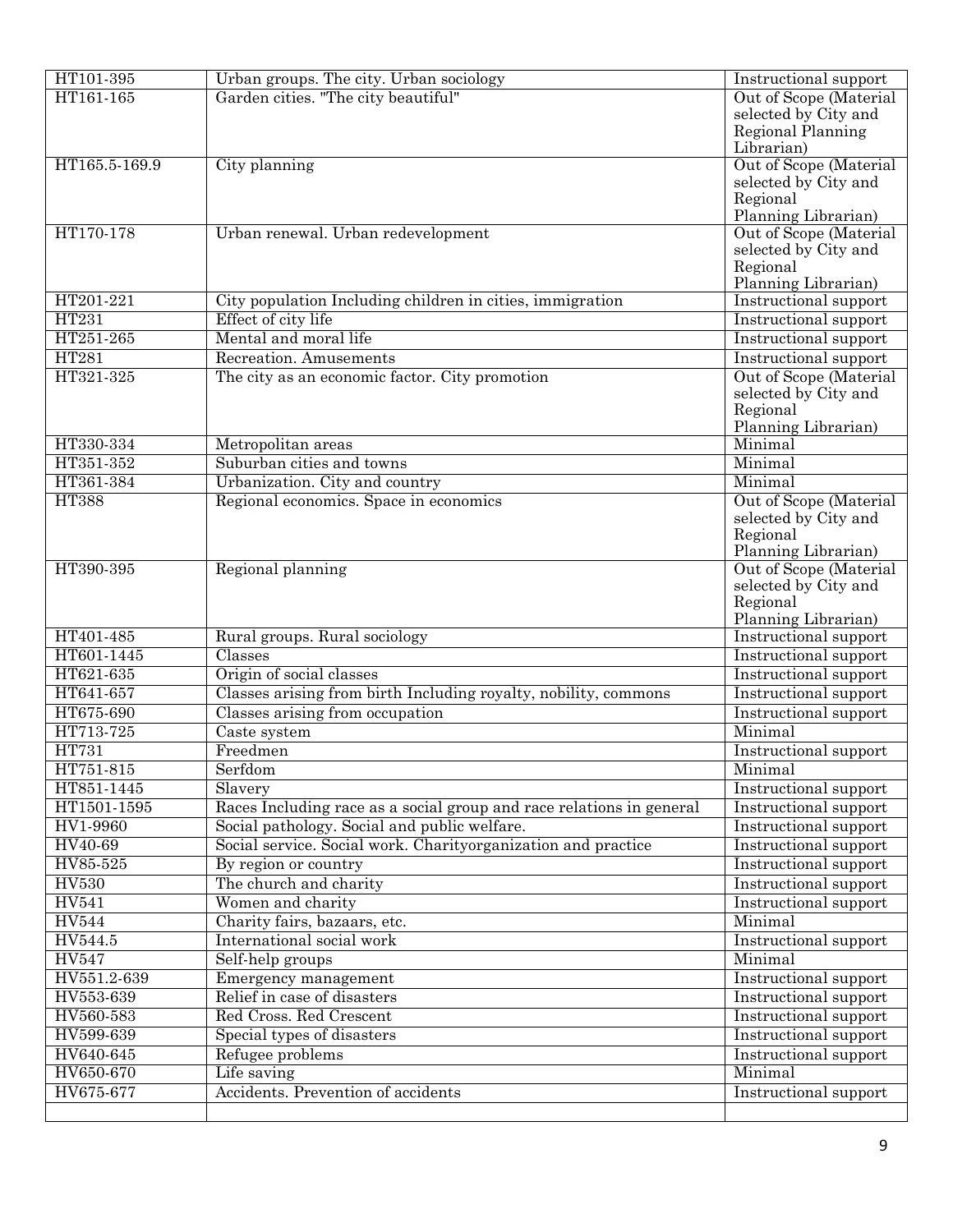| HT101-395     | Urban groups. The city. Urban sociology                              | Instructional support            |
|---------------|----------------------------------------------------------------------|----------------------------------|
| HT161-165     | Garden cities. "The city beautiful"                                  | Out of Scope (Material           |
|               |                                                                      | selected by City and             |
|               |                                                                      | Regional Planning                |
|               |                                                                      | Librarian)                       |
| HT165.5-169.9 | City planning                                                        | Out of Scope (Material           |
|               |                                                                      | selected by City and             |
|               |                                                                      | Regional                         |
|               |                                                                      | Planning Librarian)              |
| HT170-178     | Urban renewal. Urban redevelopment                                   | Out of Scope (Material           |
|               |                                                                      | selected by City and<br>Regional |
|               |                                                                      | Planning Librarian)              |
| HT201-221     | City population Including children in cities, immigration            | Instructional support            |
| HT231         | Effect of city life                                                  | Instructional support            |
| HT251-265     | Mental and moral life                                                | Instructional support            |
| HT281         | Recreation. Amusements                                               | Instructional support            |
| HT321-325     | The city as an economic factor. City promotion                       | Out of Scope (Material           |
|               |                                                                      | selected by City and             |
|               |                                                                      | Regional                         |
|               |                                                                      | Planning Librarian)              |
| HT330-334     | Metropolitan areas                                                   | Minimal                          |
| HT351-352     | Suburban cities and towns                                            | Minimal                          |
| HT361-384     | Urbanization. City and country                                       | Minimal                          |
| <b>HT388</b>  | Regional economics. Space in economics                               | Out of Scope (Material           |
|               |                                                                      | selected by City and             |
|               |                                                                      | Regional                         |
|               |                                                                      | Planning Librarian)              |
| HT390-395     | Regional planning                                                    | Out of Scope (Material           |
|               |                                                                      | selected by City and             |
|               |                                                                      | Regional                         |
|               |                                                                      | Planning Librarian)              |
| HT401-485     | Rural groups. Rural sociology                                        | Instructional support            |
| HT601-1445    | Classes                                                              | Instructional support            |
| HT621-635     | Origin of social classes                                             | Instructional support            |
| HT641-657     | Classes arising from birth Including royalty, nobility, commons      | Instructional support            |
| HT675-690     | Classes arising from occupation                                      | Instructional support            |
| HT713-725     | Caste system                                                         | Minimal                          |
| HT731         | Freedmen                                                             | Instructional support            |
| HT751-815     | Serfdom                                                              | Minimal                          |
| HT851-1445    | Slavery                                                              | Instructional support            |
| HT1501-1595   | Races Including race as a social group and race relations in general | Instructional support            |
| HV1-9960      | Social pathology. Social and public welfare.                         | Instructional support            |
| HV40-69       | Social service. Social work. Charityorganization and practice        | Instructional support            |
| HV85-525      | By region or country                                                 | Instructional support            |
| <b>HV530</b>  | The church and charity                                               | Instructional support            |
| <b>HV541</b>  | Women and charity                                                    | Instructional support            |
| <b>HV544</b>  | Charity fairs, bazaars, etc.                                         | Minimal                          |
| HV544.5       | International social work                                            |                                  |
| <b>HV547</b>  | Self-help groups                                                     | Instructional support            |
|               |                                                                      | Minimal                          |
| HV551.2-639   | Emergency management                                                 | Instructional support            |
| HV553-639     | Relief in case of disasters                                          | Instructional support            |
| HV560-583     | Red Cross. Red Crescent                                              | Instructional support            |
| HV599-639     | Special types of disasters                                           | Instructional support            |
| HV640-645     | Refugee problems                                                     | Instructional support            |
| HV650-670     | Life saving                                                          | Minimal                          |
| HV675-677     | Accidents. Prevention of accidents                                   | Instructional support            |
|               |                                                                      |                                  |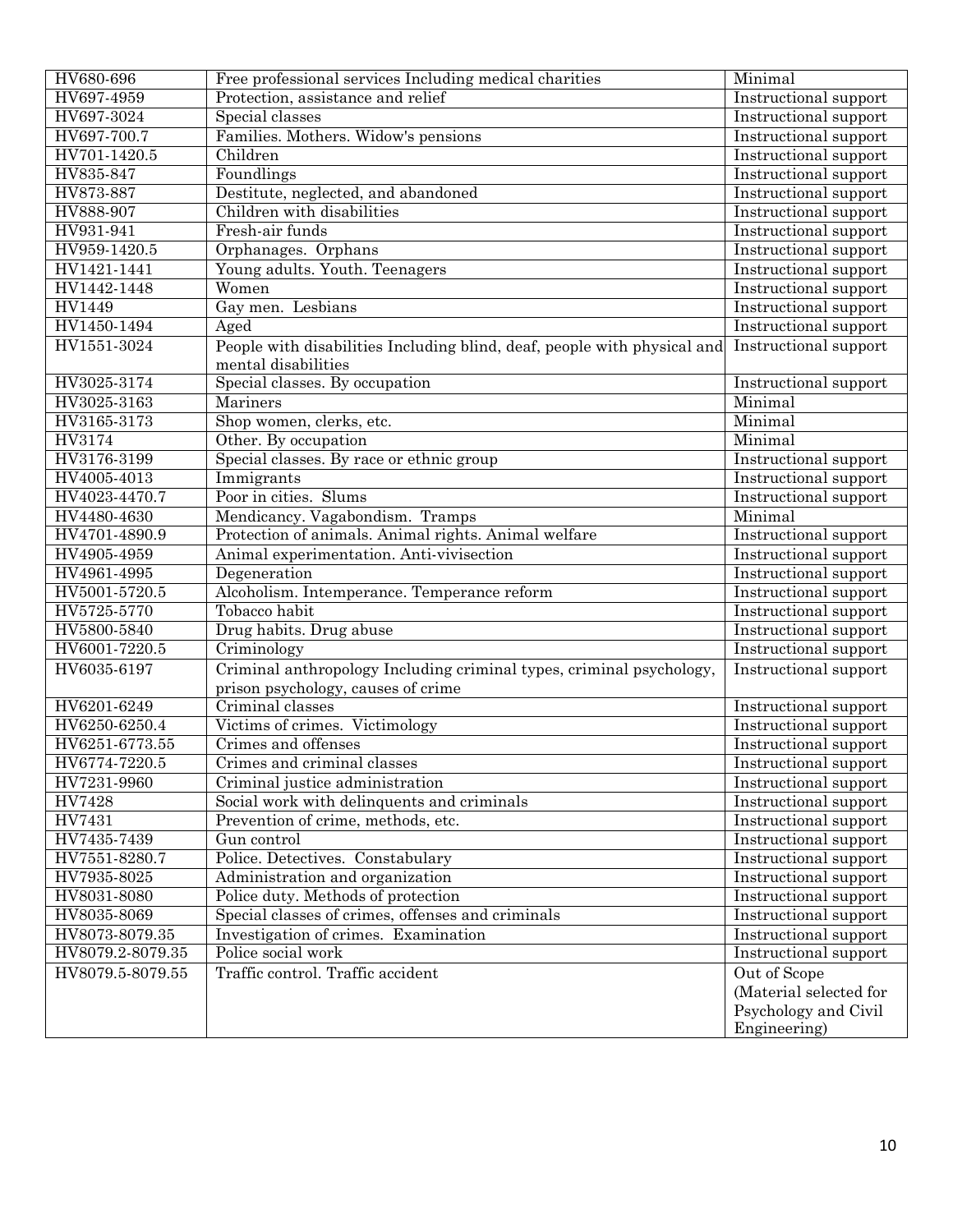| HV680-696        | Free professional services Including medical charities                   | Minimal                |
|------------------|--------------------------------------------------------------------------|------------------------|
| HV697-4959       | Protection, assistance and relief                                        | Instructional support  |
| HV697-3024       | Special classes                                                          | Instructional support  |
| HV697-700.7      | Families. Mothers. Widow's pensions                                      | Instructional support  |
| HV701-1420.5     | Children                                                                 | Instructional support  |
| HV835-847        | Foundlings                                                               | Instructional support  |
| HV873-887        | Destitute, neglected, and abandoned                                      | Instructional support  |
| HV888-907        | Children with disabilities                                               | Instructional support  |
| HV931-941        | Fresh-air funds                                                          | Instructional support  |
| HV959-1420.5     | Orphanages. Orphans                                                      | Instructional support  |
| HV1421-1441      | Young adults. Youth. Teenagers                                           | Instructional support  |
| HV1442-1448      | Women                                                                    | Instructional support  |
| HV1449           | Gay men. Lesbians                                                        | Instructional support  |
| HV1450-1494      | $A$ ged                                                                  | Instructional support  |
| HV1551-3024      | People with disabilities Including blind, deaf, people with physical and | Instructional support  |
|                  | mental disabilities                                                      |                        |
| HV3025-3174      | Special classes. By occupation                                           | Instructional support  |
| HV3025-3163      | Mariners                                                                 | Minimal                |
| HV3165-3173      | Shop women, clerks, etc.                                                 | Minimal                |
| HV3174           | Other. By occupation                                                     | Minimal                |
| HV3176-3199      | Special classes. By race or ethnic group                                 | Instructional support  |
| HV4005-4013      | Immigrants                                                               | Instructional support  |
| HV4023-4470.7    | Poor in cities. Slums                                                    | Instructional support  |
| HV4480-4630      | Mendicancy. Vagabondism. Tramps                                          | Minimal                |
| HV4701-4890.9    | Protection of animals. Animal rights. Animal welfare                     | Instructional support  |
| HV4905-4959      | Animal experimentation. Anti-vivisection                                 | Instructional support  |
| HV4961-4995      | Degeneration                                                             | Instructional support  |
| HV5001-5720.5    | Alcoholism. Intemperance. Temperance reform                              | Instructional support  |
| HV5725-5770      | Tobacco habit                                                            | Instructional support  |
| HV5800-5840      | Drug habits. Drug abuse                                                  | Instructional support  |
| HV6001-7220.5    | Criminology                                                              | Instructional support  |
| HV6035-6197      | Criminal anthropology Including criminal types, criminal psychology,     | Instructional support  |
|                  | prison psychology, causes of crime                                       |                        |
| HV6201-6249      | Criminal classes                                                         | Instructional support  |
| HV6250-6250.4    | Victims of crimes. Victimology                                           | Instructional support  |
| HV6251-6773.55   | Crimes and offenses                                                      | Instructional support  |
| HV6774-7220.5    | Crimes and criminal classes                                              | Instructional support  |
| HV7231-9960      | Criminal justice administration                                          | Instructional support  |
| HV7428           | Social work with delinquents and criminals                               | Instructional support  |
| HV7431           | Prevention of crime, methods, etc.                                       | Instructional support  |
| HV7435-7439      | Gun control                                                              | Instructional support  |
| HV7551-8280.7    | Police. Detectives. Constabulary                                         | Instructional support  |
| HV7935-8025      | Administration and organization                                          | Instructional support  |
| HV8031-8080      | Police duty. Methods of protection                                       | Instructional support  |
| HV8035-8069      | Special classes of crimes, offenses and criminals                        | Instructional support  |
| HV8073-8079.35   | Investigation of crimes. Examination                                     | Instructional support  |
| HV8079.2-8079.35 | Police social work                                                       | Instructional support  |
| HV8079.5-8079.55 | Traffic control. Traffic accident                                        | Out of Scope           |
|                  |                                                                          | (Material selected for |
|                  |                                                                          | Psychology and Civil   |
|                  |                                                                          | Engineering)           |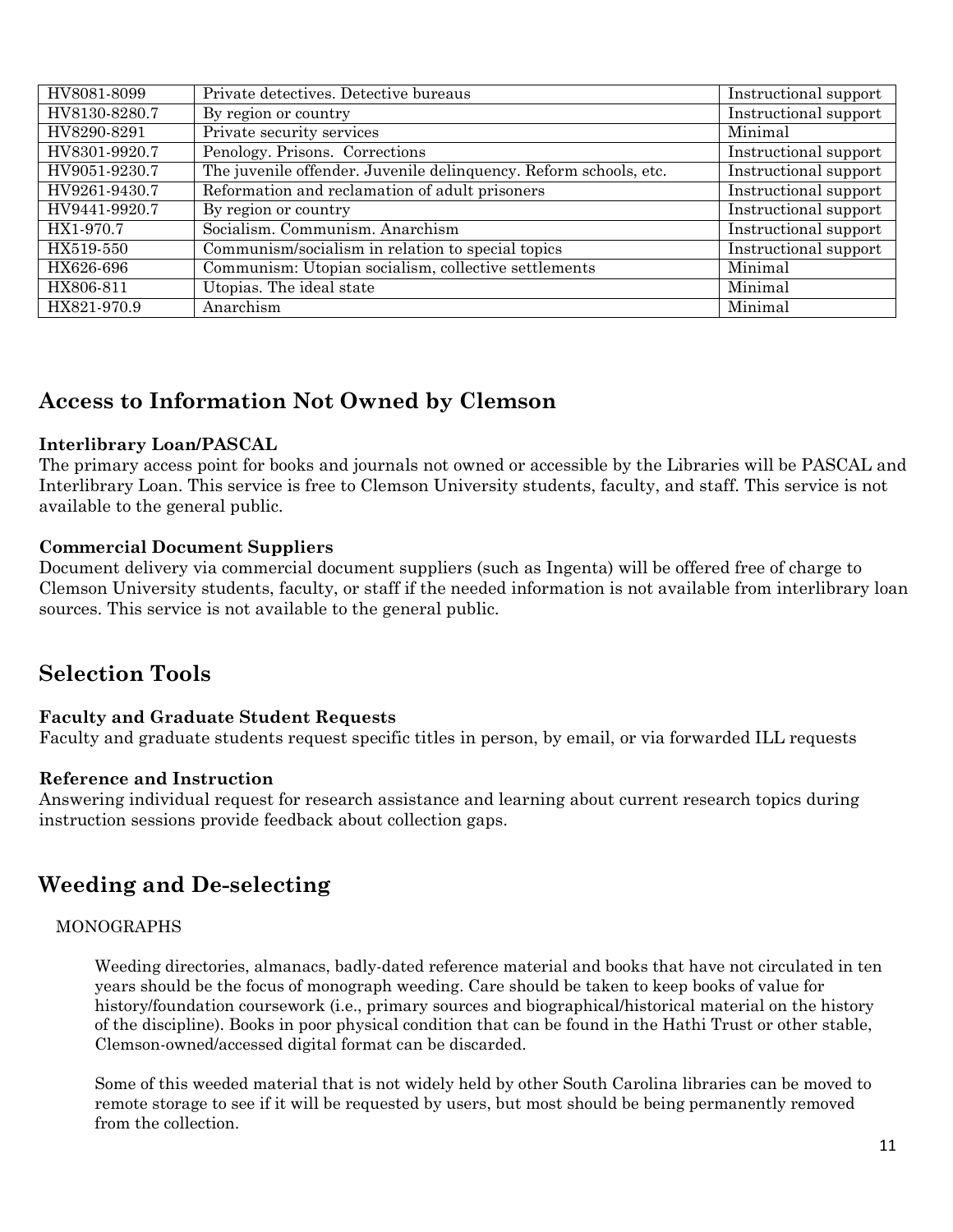| HV8081-8099   | Private detectives. Detective bureaus                             | Instructional support        |
|---------------|-------------------------------------------------------------------|------------------------------|
| HV8130-8280.7 | By region or country                                              | Instructional support        |
| HV8290-8291   | Private security services                                         | Minimal                      |
| HV8301-9920.7 | Penology. Prisons. Corrections                                    | <b>Instructional support</b> |
| HV9051-9230.7 | The juvenile offender. Juvenile delinquency. Reform schools, etc. | Instructional support        |
| HV9261-9430.7 | Reformation and reclamation of adult prisoners                    | Instructional support        |
| HV9441-9920.7 | $\overline{By}$ region or country                                 | Instructional support        |
| HX1-970.7     | Socialism. Communism. Anarchism                                   | Instructional support        |
| HX519-550     | Communism/socialism in relation to special topics                 | Instructional support        |
| HX626-696     | Communism: Utopian socialism, collective settlements              | Minimal                      |
| HX806-811     | Utopias. The ideal state                                          | Minimal                      |
| HX821-970.9   | Anarchism                                                         | Minimal                      |

### **Access to Information Not Owned by Clemson**

#### **Interlibrary Loan/PASCAL**

The primary access point for books and journals not owned or accessible by the Libraries will be PASCAL and Interlibrary Loan. This service is free to Clemson University students, faculty, and staff. This service is not available to the general public.

#### **Commercial Document Suppliers**

Document delivery via commercial document suppliers (such as Ingenta) will be offered free of charge to Clemson University students, faculty, or staff if the needed information is not available from interlibrary loan sources. This service is not available to the general public.

# **Selection Tools**

#### **Faculty and Graduate Student Requests**

Faculty and graduate students request specific titles in person, by email, or via forwarded ILL requests

#### **Reference and Instruction**

Answering individual request for research assistance and learning about current research topics during instruction sessions provide feedback about collection gaps.

### **Weeding and De-selecting**

#### MONOGRAPHS

Weeding directories, almanacs, badly-dated reference material and books that have not circulated in ten years should be the focus of monograph weeding. Care should be taken to keep books of value for history/foundation coursework (i.e., primary sources and biographical/historical material on the history of the discipline). Books in poor physical condition that can be found in the Hathi Trust or other stable, Clemson-owned/accessed digital format can be discarded.

Some of this weeded material that is not widely held by other South Carolina libraries can be moved to remote storage to see if it will be requested by users, but most should be being permanently removed from the collection.